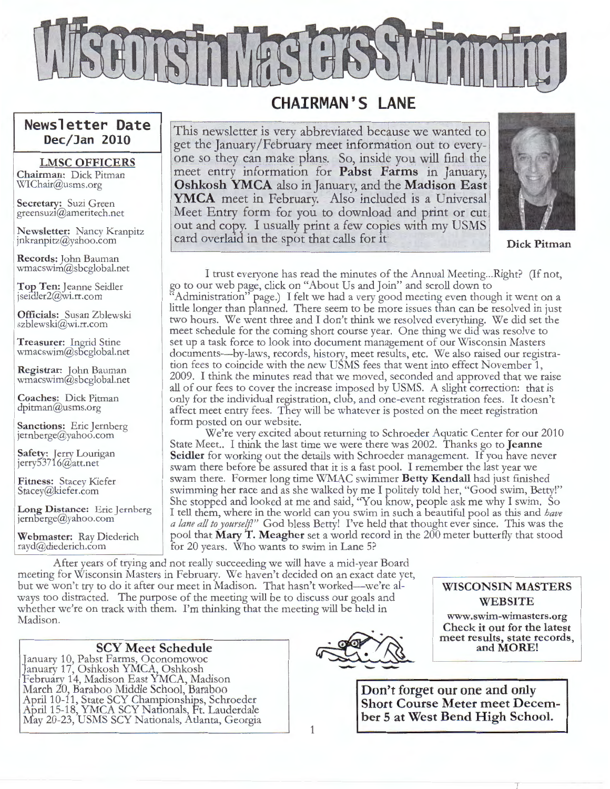

### **CHAIRMAN'S LANE**

This newsletter is very abbreviated because we wanted to get the January /February meet information out to everyone so they can make plans. So, inside you will find the meet entry information for **Pabst Farms** in January, **Oshkosh YMCA** also in January, and the **Madison East YMCA** meet in February. Also included is a Universal Meet Entry form for you to download and print or cut out and copy. I usually print a few copies with my USMS card overlaid in the spot that calls for it **Dick Pitman** 



I trust everyone has read the minutes of the Annual Meeting ... Right? (If not, go to our web page, click on "About Us and Join" and scroll down to Administration" page.) I felt we had a very good meeting even though it went on a little longer than planned. There seem to be more issues than can be resolved in just two hours. We went three and I don't think we resolved everything. We did set the meet schedule for the coming short course year. One thing we did was resolve to set up a task force to look into document management of our Wisconsin Masters documents-by-laws, records, history, meet results, etc. We also raised our registration fees to coincide with the new USMS fees that went into effect November 1, 2009. I think the minutes read that we moved, seconded and approved that we raise all of our fees to cover the increase imposed by USMS. A slight correction: that is only for the individual registration, club, and one-event registration fees. It doesn't affect meet entry fees. They will be whatever is posted on the meet registration form posted on our website.

We're very excited about returning to Schroeder Aquatic Center for our 2010 State Meet.. I think the last time we were there was 2002. Thanks go to **Jeanne Seidler** for working out the details with Schroeder management. If you have never swam there before be assured that it is a fast pool. I remember the last year we swam there. Former long time WMAC swimmer **Betty Kendall** had just finished swimming her race and as she walked by me I politely told her, "Good swim, Betty!" She stopped and looked at me and said, "You know, people ask me why I swim. So I tell them, where in the world can you swim in such a beautiful pool as this and *have a lane all to y ourself!"* God bless Betty! I've held that thought ever since. This was the pool that **Mary T. Meagher** set a world record in the 200 meter butterfly that stood for 20 years. Who wants to swim in Lane 5?

After years of trying and not really succeeding we will have a mid-year Board meeting for Wisconsin Masters in February. We haven't decided on an exact date yet, but we won't try to do it after our meet in Madison. That hasn't worked-we're always too distracted. The purpose of the meeting will be to discuss our goals and whether we're on track with them. I'm thinking that the meeting will be held in Madison.

#### **SCY Meet Schedule**

~ nuary 10, Pabst Farms, Oconomowoc anuary 17, Oshkosh YMCA, Oshkosh ebruary 14, Madison East YMCA, Madison March 20, Baraboo Middle School, Baraboo April 10-11, State SCY Championships, Schroeder April 15-18, YMCA SCY Nationals, Ft. Lauderdale May 20-23, USMS SCY Nationals, Atlanta, Georgia

**Newsletter Date Dec/Jan 2010** 

**LMSC OFFICERS** 

**Chairman:** Dick Pitman \xrIChair@usms.org **Secretary:** Suzi Green greensuz1@ameritech.net

**Newsletter:** Nancy Kranpitz jnkranpitz@yahoo.com **Records:** John Bauman wmacswim@sbcglobal.net **Top Ten:** Jeanne Seidler jseidler2@wi.rr.com

**Officials:** Susan Zblewski szblewski@wi.rr.com

**Treasurer:** Ingrid Stine wmacswim@sbcglobal.net **Registrar:** John Bauman wmacswim@sbcglobal.net **Coaches:** Dick Pitman dpitman@usms.org

**Sanctions:** Eric Jernberg jernberge@yahoo.com **Safety:** Jerry Lourigan jerry53716@att.net **Fitness:** Stacey Kiefer Stacey@kiefer.com

Long Distance: Eric Jernberg

**Webmaster:** Ray Diederich rayd@diederich.com

jernberge@yahoo.com



#### **WISCONSIN MASTERS WEBSITE**

**www.swim-wimasters.org Check** it **out for the latest meet results, state records,** 

Don't forget our one and only Short Course Meter meet December 5 at West Bend High School.

1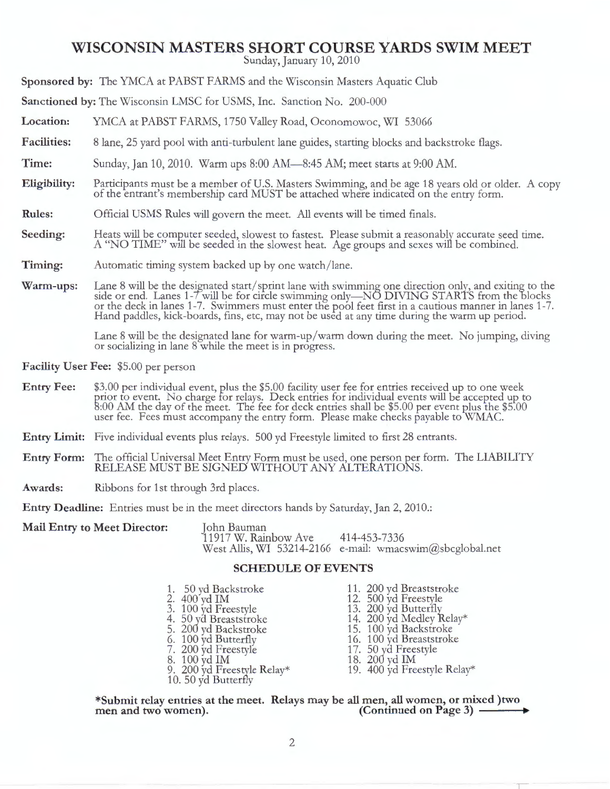### **WISCONSIN MASTERS SHORT COURSE YARDS SWIM MEET**

Sunday, January 10, 2010

**Sponsored by:** The YMCA at PABST FARMS and the Wisconsin Masters Aquatic Club

**Sanctioned by:** The Wisconsin LMSC for USMS, Inc. Sanction No. 200-000

**Location:**  YMCA at PABST FARMS, 1750 Valley Road, Oconomowoc, WI 53066

**Facilities:**  8 lane, 25 yard pool with anti-turbulent lane guides, starting blocks and backstroke flags.

**Time:**  Sunday, Jan 10, 2010. Warm ups 8:00 AM—8:45 AM; meet starts at 9:00 AM.

- **Eligibility:**  Participants must be a member of U.S. Masters Swimming, and be age 18 years old or older. A copy of the entrant's membership card MUST be attached where indicated on the entry form.
- **Rules:**  Official USMS Rules will govern the meet. All events will be timed finals.
- **Seeding:**  Heats will be computer seeded, slowest to fastest. Please submit a reasonably accurate seed time. A "NO TIME" will be seeded in the slowest heat. Age groups and sexes will be combined.
- **Timing:**  Automatic timing system backed up by one watch/lane.
- **Warm-ups:**  Lane 8 will be the designated start/ sprint lane with swimming one direction only, and exiting to the side or end. Lanes 1-Twill be for circle swimming only-NO DIVING STARTS from the blocks or the deck in lanes 1-7. Swimmers must enter the pool feet first in a cautious manner in lanes 1-7. Hand paddles, kick-boards, fins, etc, may not be used at any time during the warm up period.

Lane 8 will be the designated lane for warm-up/warm down during the meet. No jumping, diving or socializing in lane 8 while the meet is in progress.

**Facility User Fee:** \$5.00 per person

- **Entry Fee:** \$3.00 per individual event, plus the \$5.00 facility user fee for entries received up to one week prior to event. No charge for relays. Deck entries for individual events will be accepted up to 8:00 AM the day of the meet. The fee for deck entries shall be \$5.00 per event plus the \$5.00 user fee. Fees must accompany the entry form. Please make checks payable to WMAC.
- **Entry Limit:** Five individual events plus relays. 500 yd Freestyle limited to first 28 entrants.
- **Entry Form:** The official Universal Meet Entry Form must be used, one person per form. The LIABILITY RELEASE MUST BE SIGNED WITHOUT ANY ALTERATIONS.
- **Awards:** Ribbons for 1st through 3rd places.

Entry Deadline: Entries must be in the meet directors hands by Saturday, Jan 2, 2010.:

| <b>Mail Entry to Meet Director:</b> | John Bauman          |                                                          |
|-------------------------------------|----------------------|----------------------------------------------------------|
|                                     | 11917 W. Rainbow Ave | 414-453-7336                                             |
|                                     |                      | West Allis, WI 53214-2166 e-mail: wmacswim@sbcglobal.net |

#### **SCHEDULE OF EVENTS**

| 1. 50 yd Backstroke                               | 11. 200 yd Breaststroke     |
|---------------------------------------------------|-----------------------------|
| 2. 400 yd IM                                      | 12. 500 yd Freestyle        |
| 3. 100 yd Freestyle                               | 13. 200 yd Butterfly        |
| 4. 50 yd Breaststroke                             | 14. 200 yd Medley Relay*    |
| 5. 200 yd Backstroke                              | 15. 100 yd Backstroke       |
| 6. 100 yd Butterfly                               | 16. 100 yd Breaststroke     |
| 7. 200 yd Freestyle                               | 17. 50 yd Freestyle         |
| 8. 100 yd IM                                      | 18. 200 yd IM               |
|                                                   | 19. 400 yd Freestyle Relay* |
| 9. 200 yd Freestyle Relay*<br>10. 50 yd Butterfly |                             |

**\*Submit relay entries at the meet. Relays may be all men, all women, or mixed )two men and two women). (Continued on Page 3)** ----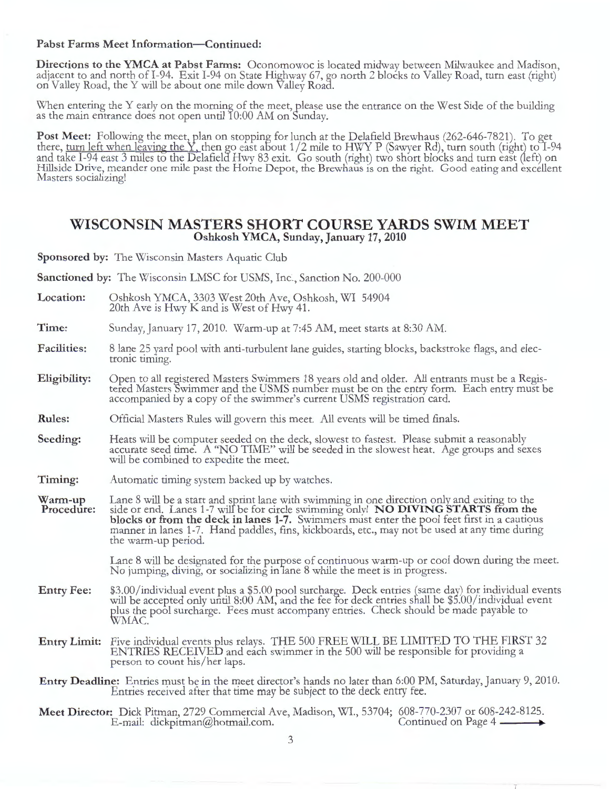#### Pabst Farms Meet Information-Continued:

**Directions to the YMCA at Pabst Farms:** Oconomowoc is located midway between Milwaukee and Madison, adjacent to and north of I-94. Exit I-94 on State Highway 67, go north 2 blocks to Valley Road, turn east (right) on Valley Road, the Y will be about one mile down Valley Road.

When entering the Y early on the morning of the meet, please use the entrance on the West Side of the building as the main entrance does not open until 10:00 AM on Sunday.

Post Meet: Following the meet, plan on stopping for lunch at the Delafield Brewhaus (262-646-7821). To get there, <u>turn left when leaving the Y, t</u>hen go east about 1/2 mile to HWY P (Sawyer Rd), turn south (right) to 1-94 and take I-94 east 3 miles to the Delafield Hwy 83 exit. Go south (right) two short blocks and turn east (left) on Hillside Drive, meander one mile past the Home Depot, the Brewhaus is on the right. Good eating and excellent Masters socializing!

#### **WISCONSIN MASTERS SHORT COURSE YARDS SWIM MEET Oshkosh YMCA, Sunday, January 17, 2010**

**Sponsored by:** The Wisconsin Masters Aquatic Club

**Sanctioned by:** The Wisconsin LMSC for USMS, Inc., Sanction No. 200-000

**Location:**  Oshkosh YMCA, 3303 West 20th Ave, Oshkosh, WI 54904 20th Ave is Hwy Kand is West of Hwy 41.

**Time:**  Sunday, January 17, 2010. Warm-up at 7:45 AM, meet starts at 8:30 AM.

- **Facilities:**  8 lane 25 yard pool with anti-turbulent lane guides, starting blocks, backstroke flags, and electronic timing.
- **Eligibility:**  Open to all registered Masters Swimmers 18 years old and older. All entrants must be a Registered Masters Swimmer and the USMS number must be on the entry form. Each entry must be accompanied by a copy of the swimmer's current USMS registration card.
- **Rules:**  Official Masters Rules will govern this meet. All events will be timed finals.
- **Seeding:**  Heats will be computer seeded on the deck, slowest to fastest. Please submit a reasonably accurate seed time. A "NO TIME" will be seeded in the slowest heat. Age groups and sexes will be combined to expedite the meet.
- **Timing :**  Automatic timing system backed up by watches.

**Warm -up Procedure:**  Lane 8 will be a start and sprint lane with swimming in one direction only and exiting to the side or end. Lanes 1-7 will be for circle swimming only! **NO DIVING STARTS from the blocks or from the deck in lanes 1-7.** Swimmers must enter the pool feet first in a cautious manner in lanes 1-7. Hand paddles, fins, kickboards, etc., may not be used at any time during the warm-up period.

> Lane 8 will be designated for the purpose of continuous warm-up or cool down during the meet. No jumping, diving, or socializing in 1ane 8 while the meet is in progress.

- **Entry Fee:**  \$3.00/individual event plus a \$5.00 pool surcharge. Deck entries (same day) for individual events will be accepted only until 8:00 AM, and the fee for deck entries shall be \$5.00/individual event plus the pool surcharge. Fees must accompany entries. Check should be made payable to WMAC.
- **Entry Limit:** Five individual events plus relays. THE 500 FREE WILL BE LIMITED TO THE FIRST 32 ENTRIES RECEIVED and each swimmer in the 500 will be responsible for providing a person to count his/her laps.
- Entry Deadline: Entries must be in the meet director's hands no later than 6:00 PM, Saturday, January 9, 2010. Entries received after that time may be subject to the deck entry fee.
- Meet Director: Dick Pitman, 2729 Commercial Ave, Madison, WI., 53704; 608-770-2307 or 608-242-8125.<br>E-mail: dickpitman@hotmail.com. Continued on Page 4 E-mail: dickpitman@hotmail.com.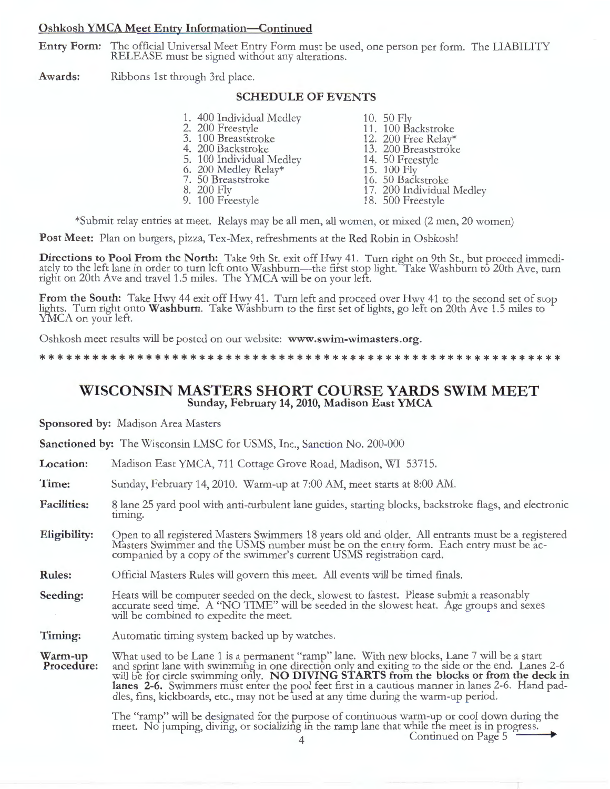#### **Oshkosh YMCA Meet Entry Information-Continued**

**Entry Form:** The official Universal Meet Entry Form must be used, one person per form. The LIABILITY RELEASE must be signed without any alterations.

**Awards:** Ribbons 1st through 3rd place.

#### **SCHEDULE OF EVENTS**

1. 400 Individual Medley 10. 50 Fly<br>
2. 200 Freestyle 11. 100 Backstroke<br>
3. 100 Breaststroke 12. 200 Free Relay\* 3. 100 Breaststroke 12. 200 Free Relay\* 4. 200 Backstroke 13. 200 Breaststroke 5. 100 Individual Medley 14. 50 Freestyle 6. 200 Medley Relay\* 15. 100 Fly 7. 50 Breaststroke 16. 50 Backstroke 8. 200 Medley Relay\*<br>
8. 200 Fly<br>
8. 200 Fly<br>
8. 200 Fly<br>
8. 200 Fly<br>
8. 200 Fly<br>
8. 200 Fly<br>
8. 200 Fly<br>
8. 200 Fly<br>
8. 200 Fly<br>
8. 200 Fly<br>
8. 200 Fly<br>
8. 200 Fly<br>
8. 200 Fly<br>
8. 200 Fly<br>
8. 200 Fly<br>
8. 500 Freestyle 9. 100 Freestyle 18. 500 Freestyle

\*Submit relay entries at meet. Relays may be all men, all women, or mixed (2 men, 20 women)

**Post Meet:** Plan on burgers, pizza, Tex-Mex, refreshments at the Red Robin in Oshkosh!

Directions to Pool From the North: Take 9th St. exit off Hwy 41. Turn right on 9th St., but proceed immediately to the left lane in order to turn left onto Washburn—the first stop light. Take Washburn to 20th Ave, turn right on 20th Ave and travel 1.5 miles. The YMCA will be on your lefi.

From the South: Take Hwy 44 exit off Hwy 41. Turn left and proceed over Hwy 41 to the second set of stop lights. Turn right onto **Washburn**. Take Washburn to the first set of lights, go left on 20th Ave 1.5 miles to YMCA on your left.

Oshkosh meet results will be posted on our website: **www.swim-wimasters.org.** 

\*\* \*\* \* \*\*\*\*\* \* \*\*\*\*\*\*\*\*\*\*\*\*\* \*\*\*\*\*\* \*\*\*\*\*\*\*\*\*\*\*\*\*\* \*\*\*\*\*\*\*\*\* \*\*\*\* \*\*

#### **WISCONSIN MASTERS SHORT COURSE YARDS SWIM MEET Sunday, February 14, 2010, Madison East YMCA**

**Sponsored by:** Madison Area Masters

**Sanctioned by:** The Wisconsin LMSC for USMS, Inc., Sanction No. 200-000

**Location:**  Madison East YMCA, 711 Cottage Grove Road, Madison, WI 53715.

**Time:**  Sunday, February 14, 2010. Warm-up at 7:00 AM, meet starts at 8:00 AM.

**Facilities:**  8 lane 25 yard pool with anti-turbulent lane guides, starting blocks, backstroke flags, and electronic timing.

- **Eligibility:**  Open to all registered Masters Swimmers 18 years old and older. All entrants must be a registered Masters Swimmer and the USMS number must be on the entry form. Each entry must be accompanied by a copy of the swimmer's current USMS registration card.
- **Rules:**  Official Masters Rules will govern this meet. All events will be timed finals.
- **Seeding:**  Heats will be computer seeded on the deck, slowest to fastest. Please submit a reasonably accurate seed time. A "NO TIME" will be seeded in the slowest heat. Age groups and sexes will be combined to expedite the meet.

**Timing:**  Automatic timing system backed up by watches.

**Warm -up Procedure:**  What used to be Lane 1 is a permanent "ramp" lane. With new blocks, Lane 7 will be a start and sprint lane with swimming in one direction only and exiting to the side or the end. Lanes 2-6 will be for circle swimming only. **NO DIVING STARTS from the blocks or from the deck in lanes 2-6.** Swimmers must enter the pool feet first in a cautious manner in lanes 2-6. Hand paddles, fins, kickboards, etc., may not be used at any time during the warm-up period.

> The "ramp" will be designated for the purpose of continuous warm-up or cool down during the meet. No jumping, diving, or socializing in the ramp lane that while the meet is in progress. 4 Continued on Page 5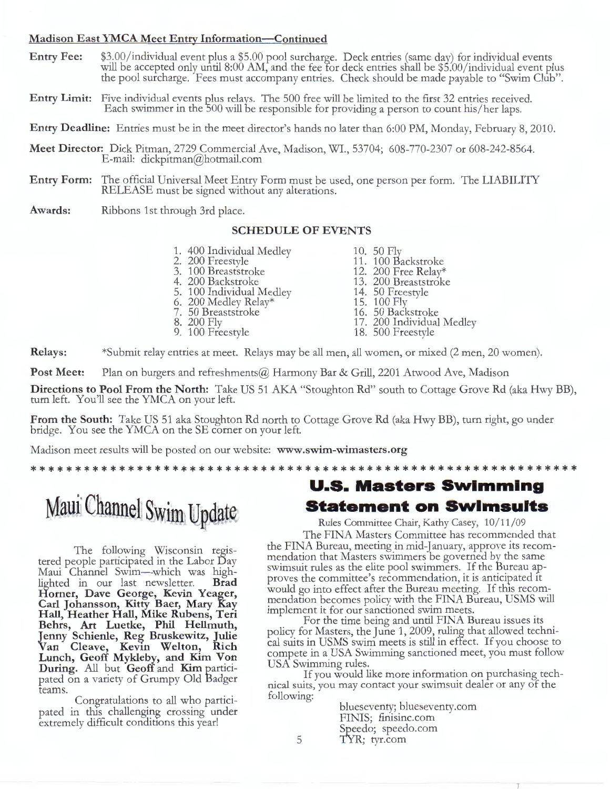#### **Madison East YMCA Meet Entry Information-Continued**

- **Entry Fee:** \$3.00/individual event plus a \$5.00 pool surcharge. Deck entries (same day) for individual events will be accepted only until 8:00 AM, and the fee for deck entries shall be \$5.00/individual event plus the pool surcharge. Fees must accompany entries. Check should be made payable to "Swim Club".
- **Entry Limit:** Five individual events plus relays. The 500 free will be limited to the first 32 entries received. Each swimmer in the 500 will be responsible for providing a person to count his/her laps.

**Entry Deadline:** Entries must be in the meet director's hands no later than 6:00 PM, Monday, February 8, 2010.

- **Meet Director:** Dick Pitman, 2729 Commercial Ave, Madison, WI., 53704; 608-770-2307 or 608-242-8564. E-mail: dickpitman@hotmail.com
- **Entry Form:** The official Universal Meet Entry Form must be used, one person per form. The LIABILITY RELEASE must be signed without any alterations.
- **Awards:** Ribbons 1st through 3rd place.

#### **SCHEDULE OF EVENTS**

- 1. 400 Individual Medley
- 2. 200 Freestyle
- 3. 100 Breaststroke
- 4. 200 Backstroke
- 5. 100 Individual Medley
- 6. 200 Medley Relay\*
- 7. 50 Breaststroke
- 8. 200 Fly 9. 100 Freestyle
- 10. 50 Fly
- 11. 100 Backstroke
- 12. 200 Free Relay\*
- 13. 200 Breaststroke
- 14. 50 Freestyle
- 15. 100 Fly
- 16. 50 Backstroke
- 17. 200 Individual Medley
- 18. 500 Freestyle

**Relays:** \*Submit relay entries at meet. Relays may be all men, all women, or mixed (2 men, 20 women).

Post Meet: Plan on burgers and refreshments@ Harmony Bar & Grill, 2201 Atwood Ave, Madison

**Directions to Pool From the North:** Take US 51 AKA "Stoughton Rd" south to Cottage Grove Rd (aka Hwy BB), turn left. You'll see the YMCA on your left.

**From the South:** Take US 51 aka Stoughton Rd north to Cottage Grove Rd (aka Hwy BB), turn right, go under bridge. You see the YMCA on the SE corner on your left.

Madison meet results will be posted on our website: **www.swim-wimasters.org** 

\*\*\* \*\*\*\*\*\*\*\*\*\* \*\*\*\*\*\*\*\*\*\*\*\*\*\*\*\*\*\*\*\*\*\*\*\*\*\*\*\*\*\*\*\* \*\*\*\*\*\*\*\*\*\*\*\*\*\*\*\*\*

# Maui Channel Swim Update

The following Wisconsin registered people participated in the Labor Day Maui Channel Swim—which was high-<br>lighted in our last newsletter. **Brad** lighted in our last newsletter. **Horner, D ave George, Kevin Yeager, Carl Johansson, Kitty Baer, Mary Kay Hall, Heather Hall, Mike Rubens, Teri Behrs, Art Luetke, Phil Hellmuth, Jenny Schienle, Reg Bruskewitz, Julie Van Cleave, Kevin Welton, Rich Lunch, Geoff Mykleby, and Kim Von During.** All but **Geoff** and **Kim** participated on a variety of Grumpy Old Badger teams.

Congratulations to all who participated in this challenging crossing under extremely difficult conditions this year!

### **U.S. Masters Swimming Statement on Swimsuits**

Rules Committee Chair, Kathy Casey, 10/11/09

The FINA Masters Committee has recommended that the FINA Bureau, meeting in mid-January, approve its recommendation that Masters swimmers be governed by the same swimsuit rules as the elite pool swimmers. If the Bureau approves the committee's recommendation, it is anticipated 1t would go into effect after the Bureau meeting. If this recommendation becomes policy with the FINA Bureau, USMS will implement it for our sanctioned swim meets.

For the time being and until FINA Bureau issues its policy for Masters, the June 1, 2009, ruling that allowed techni-cal suits in USMS swim meets is still in effect. If you choose to compete in a USA Swimming sanctioned meet, you must follow USA Swimming rules.

If you would like more information on purchasing technical suits, you may contact your swimsuit dealer or any of the following:

> blueseventy; blueseventy.com FINIS; finisinc.com Speedo; speedo.com TYR; tyr.com

5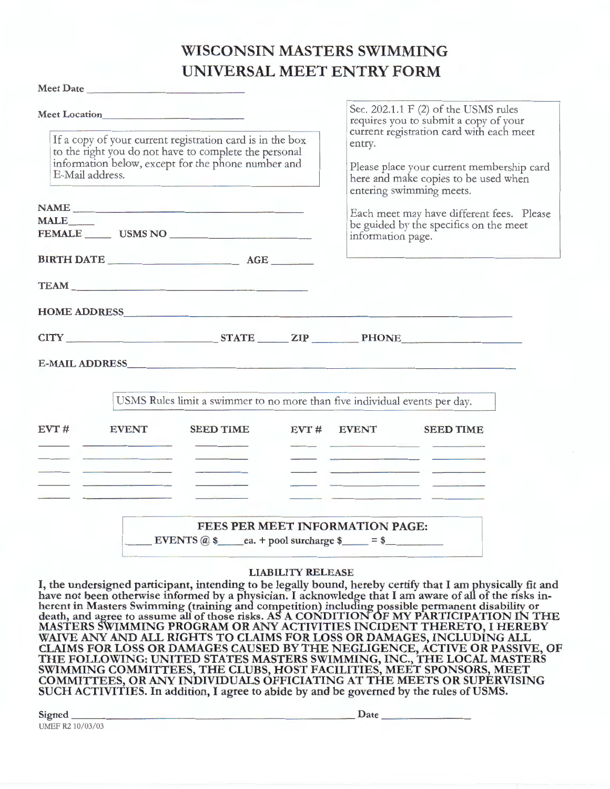## **WISCONSIN MASTERS SWIMMING UNIVERSAL MEET ENTRY FORM**

|             | Meet Date                                                                                                                                                                                   | UNIVERSAL MEET EN INITORM                                                                                                                                                                                                     |                          |                   |                                                                                                                                                                                                                                                                                                                                              |  |  |
|-------------|---------------------------------------------------------------------------------------------------------------------------------------------------------------------------------------------|-------------------------------------------------------------------------------------------------------------------------------------------------------------------------------------------------------------------------------|--------------------------|-------------------|----------------------------------------------------------------------------------------------------------------------------------------------------------------------------------------------------------------------------------------------------------------------------------------------------------------------------------------------|--|--|
|             |                                                                                                                                                                                             | Sec. 202.1.1 F (2) of the USMS rules<br>requires you to submit a copy of your                                                                                                                                                 |                          |                   |                                                                                                                                                                                                                                                                                                                                              |  |  |
|             | If a copy of your current registration card is in the box<br>to the right you do not have to complete the personal<br>information below, except for the phone number and<br>E-Mail address. |                                                                                                                                                                                                                               |                          | entry.            | current registration card with each meet<br>Please place your current membership card<br>here and make copies to be used when<br>entering swimming meets.                                                                                                                                                                                    |  |  |
|             |                                                                                                                                                                                             | NAME                                                                                                                                                                                                                          |                          |                   |                                                                                                                                                                                                                                                                                                                                              |  |  |
| <b>MALE</b> |                                                                                                                                                                                             |                                                                                                                                                                                                                               |                          |                   | Each meet may have different fees. Please                                                                                                                                                                                                                                                                                                    |  |  |
|             |                                                                                                                                                                                             | FEMALE USMS NO                                                                                                                                                                                                                |                          | information page. | be guided by the specifics on the meet                                                                                                                                                                                                                                                                                                       |  |  |
|             |                                                                                                                                                                                             | BIRTH DATE AGE                                                                                                                                                                                                                |                          |                   |                                                                                                                                                                                                                                                                                                                                              |  |  |
|             |                                                                                                                                                                                             | TEAM <b>TEAM</b>                                                                                                                                                                                                              |                          |                   |                                                                                                                                                                                                                                                                                                                                              |  |  |
|             |                                                                                                                                                                                             | HOME ADDRESS NATIONAL SERVICE SERVICE SERVICE SERVICE SERVICE SERVICE SERVICE SERVICE SERVICE SERVICE SERVICE SERVICE SERVICE SERVICE SERVICE SERVICE SERVICE SERVICE SERVICE SERVICE SERVICE SERVICE SERVICE SERVICE SERVICE |                          |                   |                                                                                                                                                                                                                                                                                                                                              |  |  |
|             |                                                                                                                                                                                             |                                                                                                                                                                                                                               |                          |                   | CITY STATE ZIP PHONE                                                                                                                                                                                                                                                                                                                         |  |  |
|             |                                                                                                                                                                                             | E-MAIL ADDRESS COMMUNICATION CONTINUES AND ALL CONTINUES OF THE CONTINUES OF THE CONTINUES OF THE CONTINUES OF                                                                                                                |                          |                   |                                                                                                                                                                                                                                                                                                                                              |  |  |
|             |                                                                                                                                                                                             | USMS Rules limit a swimmer to no more than five individual events per day.                                                                                                                                                    |                          |                   |                                                                                                                                                                                                                                                                                                                                              |  |  |
| EVT#        | <b>EVENT</b>                                                                                                                                                                                | <b>SEED TIME</b>                                                                                                                                                                                                              |                          |                   | EVT # EVENT SEED TIME<br>the contract of the contract of the contract of the contract of the contract of the contract of the contract of                                                                                                                                                                                                     |  |  |
|             |                                                                                                                                                                                             |                                                                                                                                                                                                                               |                          |                   | <u> De la Carlo de la Carlo de la Carlo de la Carlo de la Carlo de la Carlo de la Carlo de la Carlo de la Carlo de la Carlo de la Carlo de la Carlo de la Carlo de la Carlo de la Carlo de la Carlo de la Carlo de la Carlo de l</u>                                                                                                         |  |  |
|             |                                                                                                                                                                                             | FEES PER MEET INFORMATION PAGE:                                                                                                                                                                                               |                          |                   |                                                                                                                                                                                                                                                                                                                                              |  |  |
|             |                                                                                                                                                                                             | EVENTS $\omega$ \$ ea. + pool surcharge \$ = $\omega$ = \$                                                                                                                                                                    |                          |                   |                                                                                                                                                                                                                                                                                                                                              |  |  |
|             |                                                                                                                                                                                             |                                                                                                                                                                                                                               | <b>LIABILITY RELEASE</b> |                   |                                                                                                                                                                                                                                                                                                                                              |  |  |
|             |                                                                                                                                                                                             |                                                                                                                                                                                                                               |                          |                   | I, the undersigned participant, intending to be legally bound, hereby certify that I am physically fit and<br>have not been otherwise informed by a physician. I acknowledge that I am aware of all of the risks inherent in Masters Swimming (training and competition) including possible permanent disability or death, and agree to assu |  |  |

**MASTERS SWIMMING PROGRAM OR ANY ACTIVITIES INCIDENT THERETO,** I **HEREBY WAIVE ANY AND ALL RIGHTS TO CLAIMS FOR LOSS OR DAMAGES, INCLUDING ALL CLAIMS FOR LOSS OR DAMAGES CAUSED BY THE NEGLIGENCE, ACTIVE OR PASSIVE, OF THE FOLLOWING: UNITED STATES MASTERS SWIMMING, INC., THE LOCAL MASTERS SWIMMING COMMITTEES, THE CLUBS, HOST FACILITIES, MEET SPONSORS, MEET COMMITTEES, OR ANY INDIVIDUALS OFFICIATING AT THE MEETS OR SUPERVISING SUCH ACTIVITIES. In addition,** I **agree to abide by and be** governed by **the rules** of **USMS.** 

|                  | __ | $-$  |  |
|------------------|----|------|--|
| Signed           |    | Date |  |
| UMEF R2 10/03/03 |    |      |  |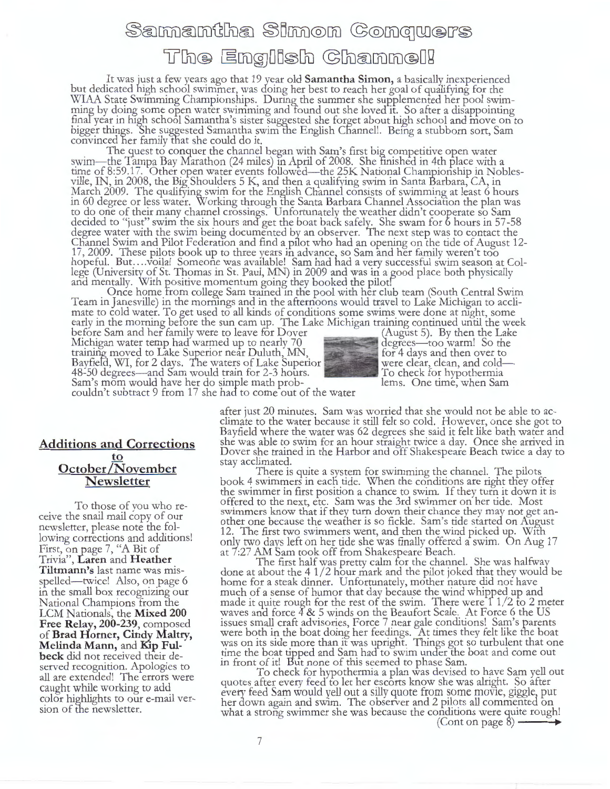# Samantha Simon Conquers The English Channel!

It was just a few years ago that 19 year old **Samantha Simon,** a basically inexperienced but dedicated high school swimmer, was doing her best to reach her goal of qualifying for the WIAA State Swimming Championships. During the summer she supplemented her pool swimming by doing some open water swimming and Tound out she loved it. So after a disappointing finaf year in high school Samantha's sister suggested she forget about high school and move on to bigger things. 'She suggested Samantha swim the English Channel!. Being a stubborn sort, Sam convinced her family tfiat she could do it.

The quest to conquer the channel began with Sam's first big competitive open water swim-the Tampa Bay Marathon (24 miles) m April of 2008. She finished in 4th place with a time of 8:59.17. Other open water events followed—the 25K National Championship in Nobles-<br>ville, IN, in 2008, the Big Shoulders 5 K, and then a qualifying swim in Santa Barbara, CA, in March 2009. The qualitying swim for the English Channel consists of swimming at least 6 hours in 60 degree or less water. Working through the Santa Barbara Channel Association the plan was to do one of their many channel crossings. Unfortunately the weather didn't cooperate so Sam decided to "just" swim the six hours and get the boat back safely. She swam for 6 hours in 57-58 degree water with the swim being documented by an observer. The next step was to contact the Channel Swim and Pilot Federation and find a pilot who had an opening on the tide of August 12-17, 2009. These pilots book up to three years in advance, so Sam and her family weren't too hopeful. But....voila! Someone was available! Sam had had a very successful swim season at College (University of St. Thomas in St. Paul, MN) in 2009 and was in a good place both physically and mentally. With positive momentum going they booked the pilot!

Once home from college Sam trained in the pool with her club team (South Central Swim Team in Janesville) in the mornings and in the afternoons would travel to Lake Michigan to acclimate to cold water. To get used to all kinds of conditions some swims were done at rught, some early in the morning before the sun cam up. The Lake Michigan training continued until the week

before Sam and her family were to leave for Dover (August 5). By then the Lake Michigan water temp had warmed up to nearly 70 degrees-too warm! So the training moved to Lake Superior near Duluth, MN, for 4 days and then over to Bayfield, WI, for 2 days. The waters of Lake Superior were clear, clean, and cold-48-50 degrees—and Sam would train for 2-3 hours. To check for hypothermia Sam's mom would have her do simple math prob-<br>Lems. One time, when Sam



couldn't subtract 9 from 17 she had to come out of the water

#### **Additions and Corrections to October**/November **Newsletter**

To those of you who receive the snail mail copy of our newsletter, please note the following corrections and additions! First, on page 7, "A Bit of Trivia", **Laren** and **H eather Tiltmann's** last name was misspelled-twice! Also, on page 6 in the small box recognizing our National Champions from the LCM Nationals, the **Mixed 200 Free Relay, 200-239,** composed of **Brad Horner, Cindy Maltry, Melinda Mann,** and **Kip Fulbeck** did not received their deserved recognition. Apologies to all are extended! The errors were caught while working to add color highlights to our e-mail version of the newsletter.

after just 20 minutes. Sam was worried that she would not be able to acclimate to the water because it still felt so cold. However, once she got to Bayfield where the water was 62 degrees she said it felt like bath water and she was able to swim for an hour straight twice a day. Once she arrived in Dover she trained in the Harbor and off Shakespeare Beach twice a day to stay acclimated.

There is quite a system for swimming the channel. The pilots book 4 swimmers in each tide. When the conditions are right they offer the swimmer in first position a chance to swim. If they turn it down it is offered to the next, etc. Sam was the 3rd swimmer on her tide. Most swimmers know that if they turn down their chance they may not get another one because the weather is so fickle. Sam's tide started on August 12. The first two swimmers went, and then the wind picked up. With only two days left on her tide she was finally offered a swim. On Aug 17 at 7:27 AM Sam took off from Shakespeare Beach.

The first half was pretty calm for the channel. She was halfway done at about the 4 1/2 hour mark and the pilot joked that they would be home for a steak dinner. Unfortunately, mother nature did not have much of a sense of humor that day because the wind whipped up and made it quite rough for the rest of the swim. There were  $\int$  1/2 to 2 meter waves and force 4 & 5 winds on the Beaufort Scale. At Force 6 the US issues small craft advisories, Force 7 near gale conditions! Sam's parents were both in the boat doing her feedings. At times they felt like tne boat was on its side more than it was upright. Things got so turbulent that one time the boat tipped and Sam had to swim under the boat and come out in front of it! But none of this seemed to phase Sam.

To check for hypothermia a plan was devised to have Sam yell out quotes after every feed to let her escorts know she was alright. So after every feed Sam would yell out a silly quote from some movie, giggle, put her down again and swim. The observer and 2 pilots all commented on what a strong swimmer she was because the conditions were quite rough! (Cont on page 8) ---